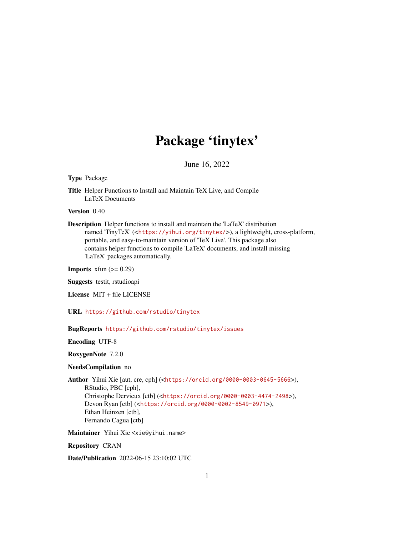# Package 'tinytex'

June 16, 2022

#### <span id="page-0-0"></span>Type Package

Title Helper Functions to Install and Maintain TeX Live, and Compile LaTeX Documents

Version 0.40

Description Helper functions to install and maintain the 'LaTeX' distribution named 'TinyTeX' (<<https://yihui.org/tinytex/>>), a lightweight, cross-platform, portable, and easy-to-maintain version of 'TeX Live'. This package also contains helper functions to compile 'LaTeX' documents, and install missing 'LaTeX' packages automatically.

**Imports** xfun  $(>= 0.29)$ 

Suggests testit, rstudioapi

License MIT + file LICENSE

URL <https://github.com/rstudio/tinytex>

# BugReports <https://github.com/rstudio/tinytex/issues>

Encoding UTF-8

RoxygenNote 7.2.0

#### NeedsCompilation no

Author Yihui Xie [aut, cre, cph] (<<https://orcid.org/0000-0003-0645-5666>>), RStudio, PBC [cph], Christophe Dervieux [ctb] (<<https://orcid.org/0000-0003-4474-2498>>), Devon Ryan [ctb] (<<https://orcid.org/0000-0002-8549-0971>>), Ethan Heinzen [ctb], Fernando Cagua [ctb]

Maintainer Yihui Xie <xie@yihui.name>

Repository CRAN

Date/Publication 2022-06-15 23:10:02 UTC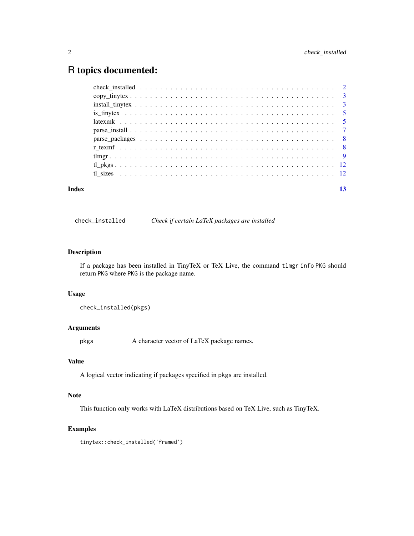# <span id="page-1-0"></span>R topics documented:

| Index | 13 |
|-------|----|

check\_installed *Check if certain LaTeX packages are installed*

#### Description

If a package has been installed in TinyTeX or TeX Live, the command tlmgr info PKG should return PKG where PKG is the package name.

# Usage

check\_installed(pkgs)

# Arguments

pkgs A character vector of LaTeX package names.

# Value

A logical vector indicating if packages specified in pkgs are installed.

# Note

This function only works with LaTeX distributions based on TeX Live, such as TinyTeX.

# Examples

tinytex::check\_installed('framed')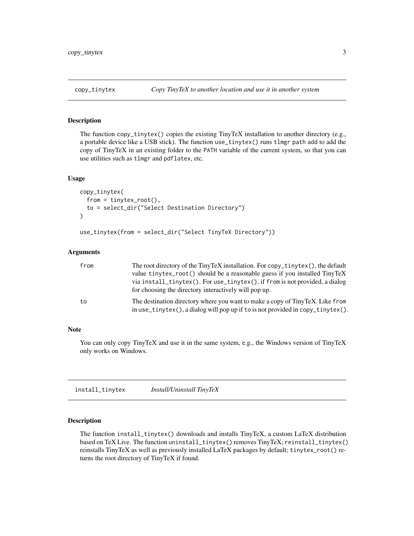<span id="page-2-0"></span>

#### <span id="page-2-2"></span>Description

The function copy\_tinytex() copies the existing TinyTeX installation to another directory (e.g., a portable device like a USB stick). The function use\_tinytex() runs tlmgr path add to add the copy of TinyTeX in an existing folder to the PATH variable of the current system, so that you can use utilities such as tlmgr and pdflatex, etc.

# Usage

```
copy_tinytex(
  from = tinytex_root(),
  to = select_dir("Select Destination Directory")
\lambda
```

```
use_tinytex(from = select_dir("Select TinyTeX Directory"))
```
#### Arguments

| from | The root directory of the TinyTeX installation. For copy_tinytex(), the default                                                                                  |
|------|------------------------------------------------------------------------------------------------------------------------------------------------------------------|
|      | value tinytex_root() should be a reasonable guess if you installed TinyTeX                                                                                       |
|      | via install_tinytex(). For use_tinytex(), if from is not provided, a dialog                                                                                      |
|      | for choosing the directory interactively will pop up.                                                                                                            |
| to   | The destination directory where you want to make a copy of TinyTeX. Like from<br>in use_tinytex(), a dialog will pop up if to is not provided in copy_tinytex(). |

#### Note

You can only copy TinyTeX and use it in the same system, e.g., the Windows version of TinyTeX only works on Windows.

<span id="page-2-3"></span>install\_tinytex *Install/Uninstall TinyTeX*

# <span id="page-2-1"></span>Description

The function install\_tinytex() downloads and installs TinyTeX, a custom LaTeX distribution based on TeX Live. The function uninstall\_tinytex() removes TinyTeX; reinstall\_tinytex() reinstalls TinyTeX as well as previously installed LaTeX packages by default; tinytex\_root() returns the root directory of TinyTeX if found.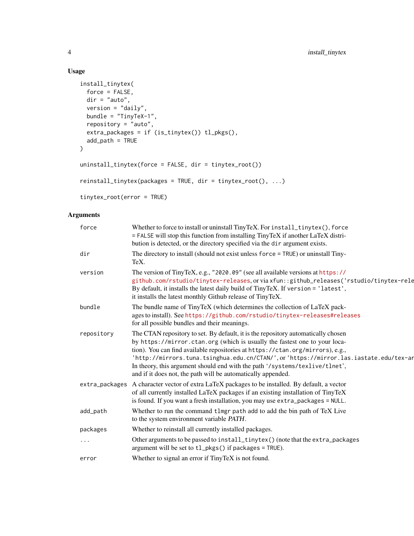# Usage

```
install_tinytex(
 force = FALSE,
 dir = "auto",
 version = "daily",
 bundle = "TinyTeX-1",
  repository = "auto",
  extra_packages = if (is_tinytex()) tl_pkgs(),
 add_path = TRUE
\mathcal{L}uninstall_tinytex(force = FALSE, dir = tinytex_root())
reinstall_tinytex(packages = TRUE, dir = tinytex_root(), ...)
tinytex_root(error = TRUE)
```
# Arguments

| force      | Whether to force to install or uninstall TinyTeX. For install_tinytex(), force<br>= FALSE will stop this function from installing TinyTeX if another LaTeX distri-<br>bution is detected, or the directory specified via the dir argument exists.                                                                                                                                                                                                                                        |
|------------|------------------------------------------------------------------------------------------------------------------------------------------------------------------------------------------------------------------------------------------------------------------------------------------------------------------------------------------------------------------------------------------------------------------------------------------------------------------------------------------|
| dir        | The directory to install (should not exist unless force = TRUE) or uninstall Tiny-<br>TeX.                                                                                                                                                                                                                                                                                                                                                                                               |
| version    | The version of TinyTeX, e.g., "2020.09" (see all available versions at https://<br>github.com/rstudio/tinytex-releases, or via xfun::github_releases('rstudio/tinytex-rele<br>By default, it installs the latest daily build of TinyTeX. If version = 'latest',<br>it installs the latest monthly Github release of TinyTeX.                                                                                                                                                             |
| bundle     | The bundle name of TinyTeX (which determines the collection of LaTeX pack-<br>ages to install). See https://github.com/rstudio/tinytex-releases#releases<br>for all possible bundles and their meanings.                                                                                                                                                                                                                                                                                 |
| repository | The CTAN repository to set. By default, it is the repository automatically chosen<br>by https://mirror.ctan.org (which is usually the fastest one to your loca-<br>tion). You can find available repositories at https://ctan.org/mirrors), e.g.,<br>'http://mirrors.tuna.tsinghua.edu.cn/CTAN/',or'https://mirror.las.iastate.edu/tex-ar<br>In theory, this argument should end with the path '/systems/texlive/tlnet',<br>and if it does not, the path will be automatically appended. |
|            | extra_packages A character vector of extra LaTeX packages to be installed. By default, a vector<br>of all currently installed LaTeX packages if an existing installation of TinyTeX<br>is found. If you want a fresh installation, you may use extra_packages = NULL.                                                                                                                                                                                                                    |
| add_path   | Whether to run the command tlmgr path add to add the bin path of TeX Live<br>to the system environment variable PATH.                                                                                                                                                                                                                                                                                                                                                                    |
| packages   | Whether to reinstall all currently installed packages.                                                                                                                                                                                                                                                                                                                                                                                                                                   |
|            | Other arguments to be passed to install_tinytex() (note that the extra_packages<br>argument will be set to $t1_{\text{p}}kgs()$ if packages = TRUE).                                                                                                                                                                                                                                                                                                                                     |
| error      | Whether to signal an error if TinyTeX is not found.                                                                                                                                                                                                                                                                                                                                                                                                                                      |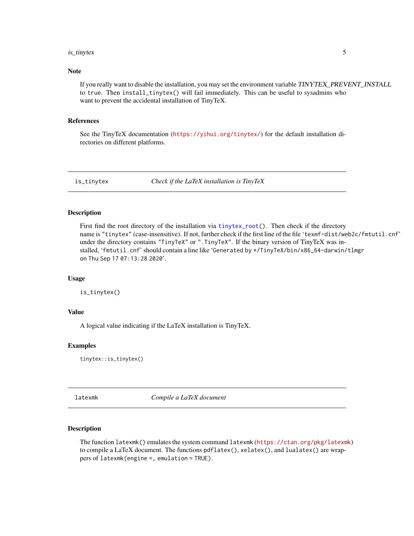#### <span id="page-4-0"></span>is\_tinytex 5

#### Note

If you really want to disable the installation, you may set the environment variable TINYTEX\_PREVENT\_INSTALL to true. Then install\_tinytex() will fail immediately. This can be useful to sysadmins who want to prevent the accidental installation of TinyTeX.

#### References

See the TinyTeX documentation (<https://yihui.org/tinytex/>) for the default installation directories on different platforms.

is\_tinytex *Check if the LaTeX installation is TinyTeX*

#### Description

First find the root directory of the installation via [tinytex\\_root\(](#page-2-1)). Then check if the directory name is "tinytex" (case-insensitive). If not, further check if the first line of the file 'texmf-dist/web2c/fmtutil.cnf' under the directory contains "TinyTeX" or ".TinyTeX". If the binary version of TinyTeX was installed, 'fmtutil.cnf' should contain a line like 'Generated by \*/TinyTeX/bin/x86\_64-darwin/tlmgr on Thu Sep 17 07:13:28 2020'.

#### Usage

is\_tinytex()

#### Value

A logical value indicating if the LaTeX installation is TinyTeX.

# Examples

tinytex::is\_tinytex()

latexmk *Compile a LaTeX document*

#### Description

The function latexmk() emulates the system command latexmk (<https://ctan.org/pkg/latexmk>) to compile a LaTeX document. The functions pdflatex(), xelatex(), and lualatex() are wrappers of latexmk(engine =, emulation = TRUE).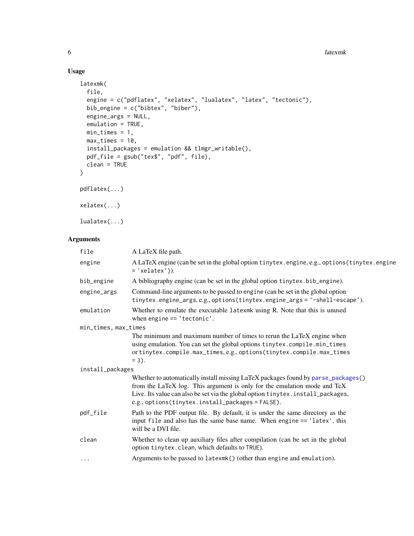#### $\frac{1}{2}$  latexmk

# Usage

```
latexmk(
 file,
 engine = c("pdflatex", "xelatex", "lualatex", "latex", "tectonic"),
 bib_engine = c("bibtex", "biber"),
 engine_args = NULL,
 emulation = TRUE,
 min\_times = 1,
 max_times = 10,install_packages = emulation && tlmgr_writable(),
 pdf_file = gsub("tex$", "pdf", file),
 clean = TRUE
\mathcal{L}pdflatex(...)
xelatex(...)
```
lualatex(...)

# Arguments

| file                 | A LaTeX file path.                                                                                                                                                                                                                                                                                    |
|----------------------|-------------------------------------------------------------------------------------------------------------------------------------------------------------------------------------------------------------------------------------------------------------------------------------------------------|
| engine               | A LaTeX engine (can be set in the global option tinytex.engine, e.g., options (tinytex.engine<br>$= 'xelatex').$                                                                                                                                                                                      |
| bib_engine           | A bibliography engine (can be set in the global option tinytex.bib_engine).                                                                                                                                                                                                                           |
| engine_args          | Command-line arguments to be passed to engine (can be set in the global option<br>tinytex.engine_args,e.g.,options(tinytex.engine_args = '-shell-escape').                                                                                                                                            |
| emulation            | Whether to emulate the executable latexmk using R. Note that this is unused<br>when engine $== 'tectonic'.$                                                                                                                                                                                           |
| min_times, max_times |                                                                                                                                                                                                                                                                                                       |
|                      | The minimum and maximum number of times to rerun the LaTeX engine when<br>using emulation. You can set the global options tinytex.compile.min_times<br>ortinytex.compile.max_times, e.g., options(tinytex.compile.max_times<br>$= 3$ .                                                                |
| install_packages     |                                                                                                                                                                                                                                                                                                       |
|                      | Whether to automatically install missing LaTeX packages found by parse_packages()<br>from the LaTeX log. This argument is only for the emulation mode and TeX<br>Live. Its value can also be set via the global option tinytex. install_packages,<br>e.g., options(tinytex.install_packages = FALSE). |
| pdf_file             | Path to the PDF output file. By default, it is under the same directory as the<br>input file and also has the same base name. When engine == 'latex', this<br>will be a DVI file.                                                                                                                     |
| clean                | Whether to clean up auxiliary files after compilation (can be set in the global<br>option tinytex.clean, which defaults to TRUE).                                                                                                                                                                     |
| $\cdots$             | Arguments to be passed to latexmk() (other than engine and emulation).                                                                                                                                                                                                                                |
|                      |                                                                                                                                                                                                                                                                                                       |

<span id="page-5-0"></span>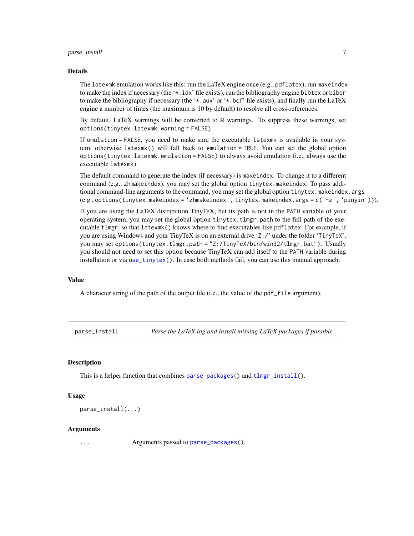#### <span id="page-6-0"></span>parse\_install 7

#### Details

The latexmk emulation works like this: run the LaTeX engine once (e.g., pdflatex), run makeindex to make the index if necessary (the '\*.idx' file exists), run the bibliography engine bibtex or biber to make the bibliography if necessary (the ' $*$  aux' or  $*$  bcf' file exists), and finally run the LaTeX engine a number of times (the maximum is 10 by default) to resolve all cross-references.

By default, LaTeX warnings will be converted to R warnings. To suppress these warnings, set options(tinytex.latexmk.warning = FALSE).

If emulation = FALSE, you need to make sure the executable latexmk is available in your system, otherwise latexmk() will fall back to emulation = TRUE. You can set the global option options(tinytex.latexmk.emulation = FALSE) to always avoid emulation (i.e., always use the executable latexmk).

The default command to generate the index (if necessary) is makeindex. To change it to a different command (e.g., zhmakeindex), you may set the global option tinytex.makeindex. To pass additional command-line arguments to the command, you may set the global option tinytex.makeindex.args (e.g., options(tinytex.makeindex = 'zhmakeindex', tinytex.makeindex.args = c('-z', 'pinyin'))).

If you are using the LaTeX distribution TinyTeX, but its path is not in the PATH variable of your operating system, you may set the global option tinytex.tlmgr.path to the full path of the executable tlmgr, so that latexmk() knows where to find executables like pdflatex. For example, if you are using Windows and your TinyTeX is on an external drive 'Z:/' under the folder 'TinyTeX', you may set options(tinytex.tlmgr.path = "Z:/TinyTeX/bin/win32/tlmgr.bat"). Usually you should not need to set this option because TinyTeX can add itself to the PATH variable during installation or via [use\\_tinytex\(](#page-2-2)). In case both methods fail, you can use this manual approach.

#### Value

A character string of the path of the output file (i.e., the value of the pdf\_file argument).

parse\_install *Parse the LaTeX log and install missing LaTeX packages if possible*

#### **Description**

This is a helper function that combines [parse\\_packages\(](#page-7-1)) and [tlmgr\\_install\(](#page-8-1)).

#### Usage

parse\_install(...)

#### Arguments

... Arguments passed to [parse\\_packages\(](#page-7-1)).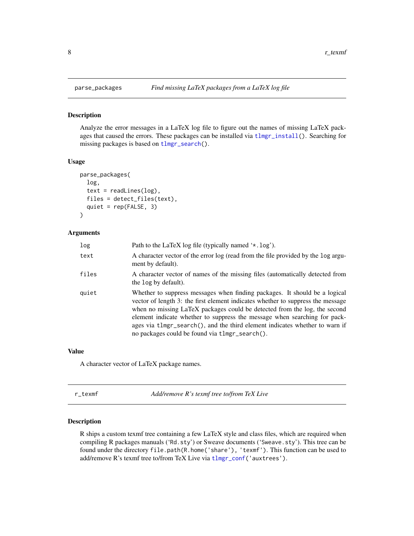# Description

Analyze the error messages in a LaTeX log file to figure out the names of missing LaTeX packages that caused the errors. These packages can be installed via [tlmgr\\_install\(](#page-8-1)). Searching for missing packages is based on [tlmgr\\_search\(](#page-8-1)).

#### Usage

```
parse_packages(
  log,
  text = readLines(log),
 files = detect_files(text),
  quiet = rep(FALSE, 3)
)
```
#### Arguments

| log   | Path to the LaTeX log file (typically named '*. log').                                                                                                                                                                                                                                                                                                                                                                                                   |
|-------|----------------------------------------------------------------------------------------------------------------------------------------------------------------------------------------------------------------------------------------------------------------------------------------------------------------------------------------------------------------------------------------------------------------------------------------------------------|
| text  | A character vector of the error log (read from the file provided by the log argu-<br>ment by default).                                                                                                                                                                                                                                                                                                                                                   |
| files | A character vector of names of the missing files (automatically detected from<br>the log by default).                                                                                                                                                                                                                                                                                                                                                    |
| quiet | Whether to suppress messages when finding packages. It should be a logical<br>vector of length 3: the first element indicates whether to suppress the message<br>when no missing LaTeX packages could be detected from the log, the second<br>element indicate whether to suppress the message when searching for pack-<br>ages via tlmgr_search(), and the third element indicates whether to warn if<br>no packages could be found via tlmgr_search(). |

## Value

A character vector of LaTeX package names.

| r_texmf | Add/remove R's texmf tree to/from TeX Live |
|---------|--------------------------------------------|
|---------|--------------------------------------------|

#### Description

R ships a custom texmf tree containing a few LaTeX style and class files, which are required when compiling R packages manuals ('Rd.sty') or Sweave documents ('Sweave.sty'). This tree can be found under the directory file.path(R.home('share'), 'texmf'). This function can be used to add/remove R's texmf tree to/from TeX Live via [tlmgr\\_conf\(](#page-8-1)'auxtrees').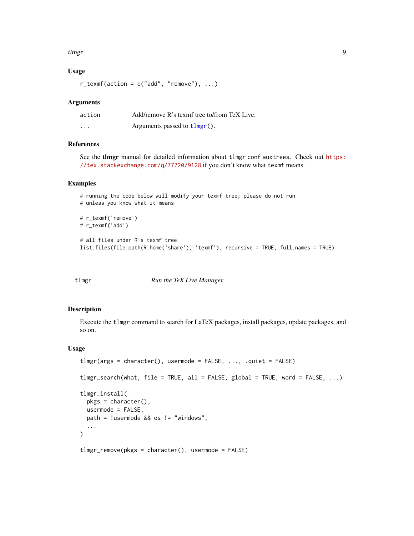#### <span id="page-8-0"></span>tlmgr bland and the set of the set of the set of the set of the set of the set of the set of the set of the set of the set of the set of the set of the set of the set of the set of the set of the set of the set of the set

# Usage

 $r_t$ texmf(action = c("add", "remove"), ...)

#### Arguments

| action  | Add/remove R's texmf tree to/from TeX Live. |
|---------|---------------------------------------------|
| $\cdot$ | Arguments passed to $tlmgr()$ .             |

#### References

See the tlmgr manual for detailed information about tlmgr conf auxtrees. Check out [https:](https://tex.stackexchange.com/q/77720/9128) [//tex.stackexchange.com/q/77720/9128](https://tex.stackexchange.com/q/77720/9128) if you don't know what texmf means.

#### Examples

```
# running the code below will modify your texmf tree; please do not run
# unless you know what it means
# r_texmf('remove')
# r_texmf('add')
# all files under R's texmf tree
list.files(file.path(R.home('share'), 'texmf'), recursive = TRUE, full.names = TRUE)
```
<span id="page-8-2"></span>tlmgr *Run the TeX Live Manager*

#### <span id="page-8-1"></span>Description

Execute the tlmgr command to search for LaTeX packages, install packages, update packages, and so on.

#### Usage

```
tlmgr(args = character(), usermode = FALSE, ..., .quiet = FALSE)
tlmgr_search(what, file = TRUE, all = FALSE, global = TRUE, word = FALSE, ...)
tlmgr_install(
 pkgs = character(),
 usermode = FALSE,
 path = !usermode && os != "windows",
  ...
\lambdatlmgr_remove(pkgs = character(), usermode = FALSE)
```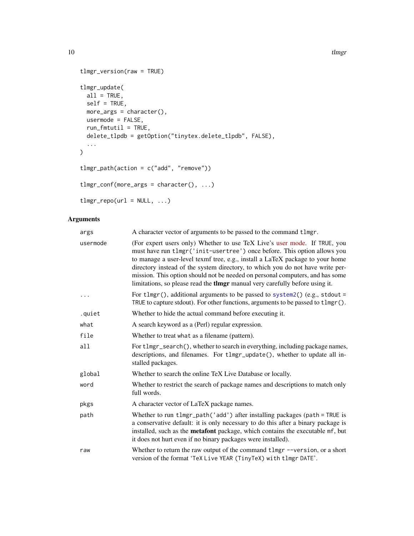```
10 tlmgr strategies and the strategies of the strategies of the strategies of the strategies of the strategies of the strategies of the strategies of the strategies of the strategies of the strategies of the strategies of
```

```
tlmgr_version(raw = TRUE)
tlmgr_update(
 all = TRUE,self = TRUE,more_args = character(),
 usermode = FALSE,
 run_fmtutil = TRUE,
 delete_tlpdb = getOption("tinytex.delete_tlpdb", FALSE),
  ...
\mathcal{L}tlmgr_path(action = c("add", "remove"))
tlmgr_conf(more_args = character(), ...)
tlmgr_repo(url = NULL, ...)
```
# Arguments

| args     | A character vector of arguments to be passed to the command tlmgr.                                                                                                                                                                                                                                                                                                                                                                                                                        |
|----------|-------------------------------------------------------------------------------------------------------------------------------------------------------------------------------------------------------------------------------------------------------------------------------------------------------------------------------------------------------------------------------------------------------------------------------------------------------------------------------------------|
| usermode | (For expert users only) Whether to use TeX Live's user mode. If TRUE, you<br>must have run tlmgr('init-usertree') once before. This option allows you<br>to manage a user-level texmf tree, e.g., install a LaTeX package to your home<br>directory instead of the system directory, to which you do not have write per-<br>mission. This option should not be needed on personal computers, and has some<br>limitations, so please read the timgr manual very carefully before using it. |
|          | For tlmgr(), additional arguments to be passed to system2() (e.g., stdout =<br>TRUE to capture stdout). For other functions, arguments to be passed to tlmgr().                                                                                                                                                                                                                                                                                                                           |
| .quiet   | Whether to hide the actual command before executing it.                                                                                                                                                                                                                                                                                                                                                                                                                                   |
| what     | A search keyword as a (Perl) regular expression.                                                                                                                                                                                                                                                                                                                                                                                                                                          |
| file     | Whether to treat what as a filename (pattern).                                                                                                                                                                                                                                                                                                                                                                                                                                            |
| a11      | For tlmgr_search(), whether to search in everything, including package names,<br>descriptions, and filenames. For tlmgr_update(), whether to update all in-<br>stalled packages.                                                                                                                                                                                                                                                                                                          |
| global   | Whether to search the online TeX Live Database or locally.                                                                                                                                                                                                                                                                                                                                                                                                                                |
| word     | Whether to restrict the search of package names and descriptions to match only<br>full words.                                                                                                                                                                                                                                                                                                                                                                                             |
| pkgs     | A character vector of LaTeX package names.                                                                                                                                                                                                                                                                                                                                                                                                                                                |
| path     | Whether to run tlmgr_path('add') after installing packages (path = TRUE is<br>a conservative default: it is only necessary to do this after a binary package is<br>installed, such as the <b>metafont</b> package, which contains the executable mf, but<br>it does not hurt even if no binary packages were installed).                                                                                                                                                                  |
| raw      | Whether to return the raw output of the command tlmgr --version, or a short<br>version of the format 'TeX Live YEAR (TinyTeX) with tlmgr DATE'.                                                                                                                                                                                                                                                                                                                                           |

<span id="page-9-0"></span>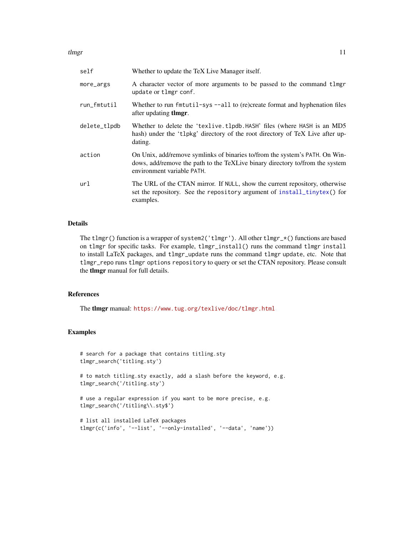<span id="page-10-0"></span>tlmgr the contract of the contract of the contract of the contract of the contract of the contract of the contract of the contract of the contract of the contract of the contract of the contract of the contract of the cont

| self         | Whether to update the TeX Live Manager itself.                                                                                                                                            |
|--------------|-------------------------------------------------------------------------------------------------------------------------------------------------------------------------------------------|
| more_args    | A character vector of more arguments to be passed to the command tlmgr<br>update or tlmgr conf.                                                                                           |
| run_fmtutil  | Whether to run fmtutil-sys--all to (re)create format and hyphenation files<br>after updating <b>timgr</b> .                                                                               |
| delete_tlpdb | Whether to delete the 'texlive.tlpdb.HASH' files (where HASH is an MD5<br>hash) under the 'tlpkg' directory of the root directory of TeX Live after up-<br>dating.                        |
| action       | On Unix, add/remove symlinks of binaries to/from the system's PATH. On Win-<br>dows, add/remove the path to the TeXLive binary directory to/from the system<br>environment variable PATH. |
| url          | The URL of the CTAN mirror. If NULL, show the current repository, otherwise<br>set the repository. See the repository argument of install_tinytex() for<br>examples.                      |

### Details

The tlmgr() function is a wrapper of system2('tlmgr'). All other tlmgr\_\*() functions are based on tlmgr for specific tasks. For example, tlmgr\_install() runs the command tlmgr install to install LaTeX packages, and tlmgr\_update runs the command tlmgr update, etc. Note that tlmgr\_repo runs tlmgr options repository to query or set the CTAN repository. Please consult the tlmgr manual for full details.

#### References

The tlmgr manual: <https://www.tug.org/texlive/doc/tlmgr.html>

#### Examples

```
# search for a package that contains titling.sty
tlmgr_search('titling.sty')
# to match titling.sty exactly, add a slash before the keyword, e.g.
tlmgr_search('/titling.sty')
# use a regular expression if you want to be more precise, e.g.
tlmgr_search('/titling\\.sty$')
```

```
# list all installed LaTeX packages
tlmgr(c('info', '--list', '--only-installed', '--data', 'name'))
```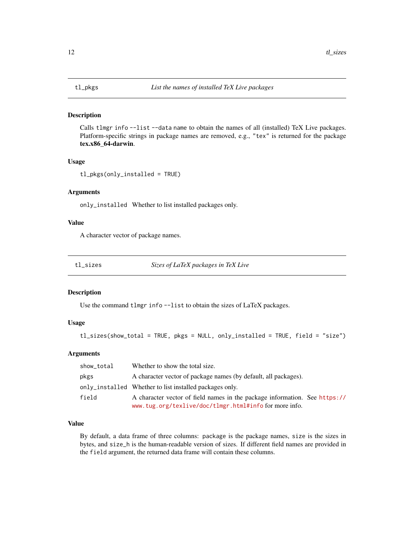<span id="page-11-0"></span>

# Description

Calls tlmgr info --list --data name to obtain the names of all (installed) TeX Live packages. Platform-specific strings in package names are removed, e.g., "tex" is returned for the package tex.x86\_64-darwin.

#### Usage

tl\_pkgs(only\_installed = TRUE)

#### Arguments

only\_installed Whether to list installed packages only.

### Value

A character vector of package names.

tl\_sizes *Sizes of LaTeX packages in TeX Live*

#### Description

Use the command tlmgr info--list to obtain the sizes of LaTeX packages.

#### Usage

tl\_sizes(show\_total = TRUE, pkgs = NULL, only\_installed = TRUE, field = "size")

#### Arguments

| show_total | Whether to show the total size.                                                                                                      |
|------------|--------------------------------------------------------------------------------------------------------------------------------------|
| pkgs       | A character vector of package names (by default, all packages).                                                                      |
|            | only_installed Whether to list installed packages only.                                                                              |
| field      | A character vector of field names in the package information. See https://<br>www.tug.org/texlive/doc/tlmgr.html#info for more info. |

### Value

By default, a data frame of three columns: package is the package names, size is the sizes in bytes, and size\_h is the human-readable version of sizes. If different field names are provided in the field argument, the returned data frame will contain these columns.